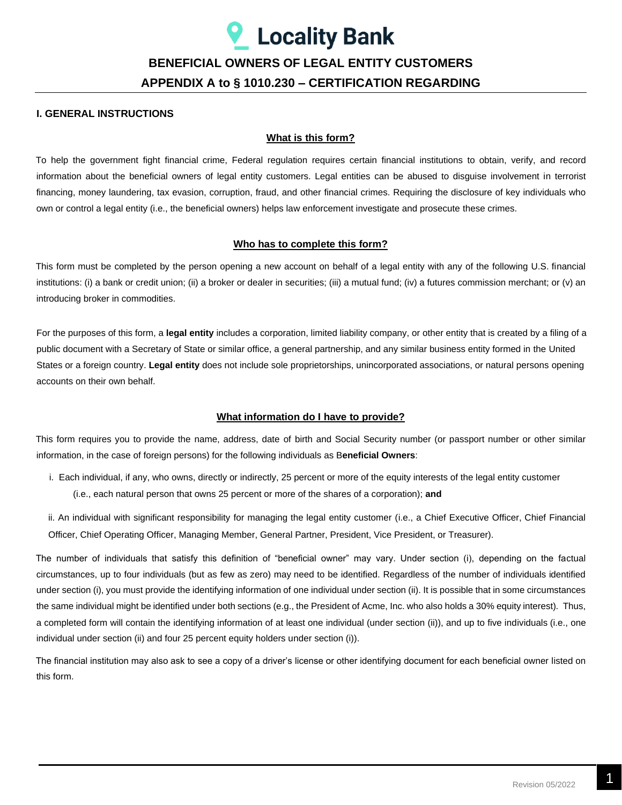# **Locality Bank**

## **BENEFICIAL OWNERS OF LEGAL ENTITY CUSTOMERS APPENDIX A to § 1010.230 – CERTIFICATION REGARDING**

#### **I. GENERAL INSTRUCTIONS**

#### **What is this form?**

To help the government fight financial crime, Federal regulation requires certain financial institutions to obtain, verify, and record information about the beneficial owners of legal entity customers. Legal entities can be abused to disguise involvement in terrorist financing, money laundering, tax evasion, corruption, fraud, and other financial crimes. Requiring the disclosure of key individuals who own or control a legal entity (i.e., the beneficial owners) helps law enforcement investigate and prosecute these crimes.

#### **Who has to complete this form?**

This form must be completed by the person opening a new account on behalf of a legal entity with any of the following U.S. financial institutions: (i) a bank or credit union; (ii) a broker or dealer in securities; (iii) a mutual fund; (iv) a futures commission merchant; or (v) an introducing broker in commodities.

For the purposes of this form, a **legal entity** includes a corporation, limited liability company, or other entity that is created by a filing of a public document with a Secretary of State or similar office, a general partnership, and any similar business entity formed in the United States or a foreign country. **Legal entity** does not include sole proprietorships, unincorporated associations, or natural persons opening accounts on their own behalf.

#### **What information do I have to provide?**

This form requires you to provide the name, address, date of birth and Social Security number (or passport number or other similar information, in the case of foreign persons) for the following individuals as B**eneficial Owners**:

- i. Each individual, if any, who owns, directly or indirectly, 25 percent or more of the equity interests of the legal entity customer (i.e., each natural person that owns 25 percent or more of the shares of a corporation); **and**
- ii. An individual with significant responsibility for managing the legal entity customer (i.e., a Chief Executive Officer, Chief Financial Officer, Chief Operating Officer, Managing Member, General Partner, President, Vice President, or Treasurer).

The number of individuals that satisfy this definition of "beneficial owner" may vary. Under section (i), depending on the factual circumstances, up to four individuals (but as few as zero) may need to be identified. Regardless of the number of individuals identified under section (i), you must provide the identifying information of one individual under section (ii). It is possible that in some circumstances the same individual might be identified under both sections (e.g., the President of Acme, Inc. who also holds a 30% equity interest). Thus, a completed form will contain the identifying information of at least one individual (under section (ii)), and up to five individuals (i.e., one individual under section (ii) and four 25 percent equity holders under section (i)).

The financial institution may also ask to see a copy of a driver's license or other identifying document for each beneficial owner listed on this form.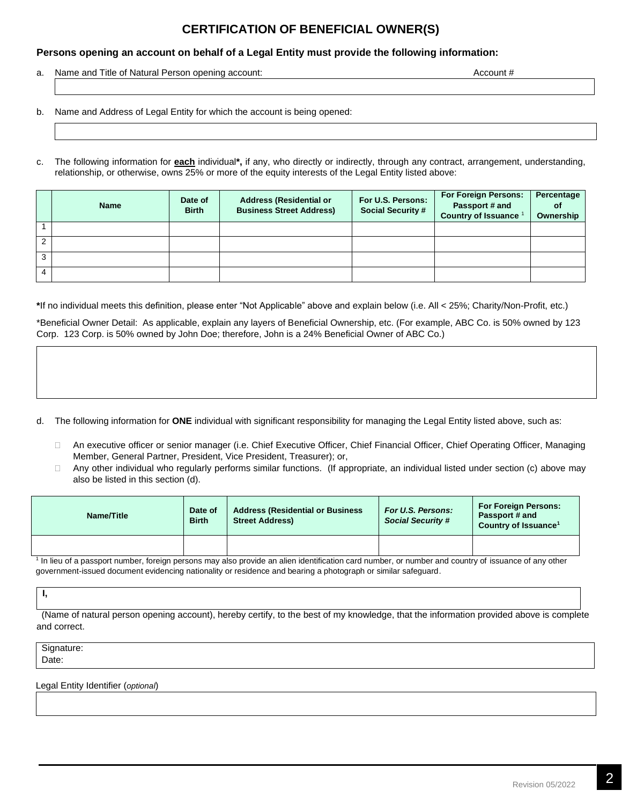### **CERTIFICATION OF BENEFICIAL OWNER(S)**

#### **Persons opening an account on behalf of a Legal Entity must provide the following information:**

a. Name and Title of Natural Person opening account: **Account #** Account # Account # Account # Account # Account # Account # Account # Account # Account # Account # Account # Account # Account # Account # Account # Account

b. Name and Address of Legal Entity for which the account is being opened:

c. The following information for **each** individual**\*,** if any, who directly or indirectly, through any contract, arrangement, understanding, relationship, or otherwise, owns 25% or more of the equity interests of the Legal Entity listed above:

|   | <b>Name</b> | Date of<br><b>Birth</b> | <b>Address (Residential or</b><br><b>Business Street Address)</b> | For U.S. Persons:<br><b>Social Security #</b> | <b>For Foreign Persons:</b><br>Passport # and<br><b>Country of Issuance</b> | Percentage<br>οf<br>Ownership |
|---|-------------|-------------------------|-------------------------------------------------------------------|-----------------------------------------------|-----------------------------------------------------------------------------|-------------------------------|
|   |             |                         |                                                                   |                                               |                                                                             |                               |
| ົ |             |                         |                                                                   |                                               |                                                                             |                               |
| 3 |             |                         |                                                                   |                                               |                                                                             |                               |
|   |             |                         |                                                                   |                                               |                                                                             |                               |

**\***If no individual meets this definition, please enter "Not Applicable" above and explain below (i.e. All < 25%; Charity/Non-Profit, etc.)

\*Beneficial Owner Detail: As applicable, explain any layers of Beneficial Ownership, etc. (For example, ABC Co. is 50% owned by 123 Corp. 123 Corp. is 50% owned by John Doe; therefore, John is a 24% Beneficial Owner of ABC Co.)

- d. The following information for **ONE** individual with significant responsibility for managing the Legal Entity listed above, such as:
	- An executive officer or senior manager (i.e. Chief Executive Officer, Chief Financial Officer, Chief Operating Officer, Managing Member, General Partner, President, Vice President, Treasurer); or,
	- □ Any other individual who regularly performs similar functions. (If appropriate, an individual listed under section (c) above may also be listed in this section (d).

| Name/Title | Date of<br><b>Birth</b> | <b>Address (Residential or Business)</b><br><b>Street Address)</b> | For U.S. Persons:<br><b>Social Security #</b> | <b>For Foreign Persons:</b><br>Passport # and<br>Country of Issuance <sup>1</sup> |
|------------|-------------------------|--------------------------------------------------------------------|-----------------------------------------------|-----------------------------------------------------------------------------------|
|            |                         |                                                                    |                                               |                                                                                   |

<sup>1</sup> In lieu of a passport number, foreign persons may also provide an alien identification card number, or number and country of issuance of any other government-issued document evidencing nationality or residence and bearing a photograph or similar safeguard.

**I,** 

(Name of natural person opening account), hereby certify, to the best of my knowledge, that the information provided above is complete and correct.

Signature: Date:

Legal Entity Identifier (*optional*)